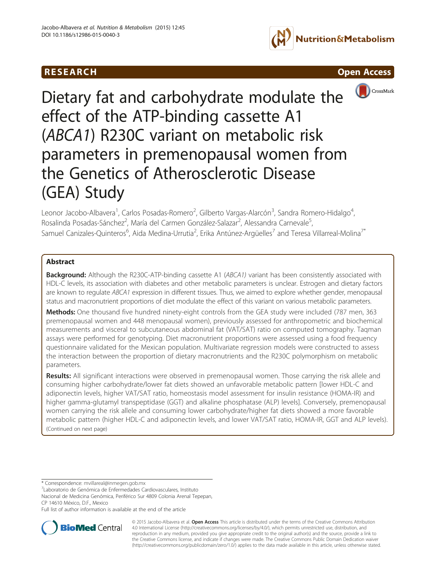





# Dietary fat and carbohydrate modulate the effect of the ATP-binding cassette A1 (ABCA1) R230C variant on metabolic risk parameters in premenopausal women from the Genetics of Atherosclerotic Disease (GEA) Study

Leonor Jacobo-Albavera<sup>1</sup>, Carlos Posadas-Romero<sup>2</sup>, Gilberto Vargas-Alarcón<sup>3</sup>, Sandra Romero-Hidalgo<sup>4</sup> , Rosalinda Posadas-Sánchez<sup>2</sup>, María del Carmen González-Salazar<sup>2</sup>, Alessandra Carnevale<sup>5</sup> , Samuel Canizales-Quinteros<sup>6</sup>, Aida Medina-Urrutia<sup>2</sup>, Erika Antúnez-Argüelles<sup>7</sup> and Teresa Villarreal-Molina<sup>7\*</sup>

# Abstract

**Background:** Although the R230C-ATP-binding cassette A1 (ABCA1) variant has been consistently associated with HDL-C levels, its association with diabetes and other metabolic parameters is unclear. Estrogen and dietary factors are known to regulate ABCA1 expression in different tissues. Thus, we aimed to explore whether gender, menopausal status and macronutrient proportions of diet modulate the effect of this variant on various metabolic parameters.

Methods: One thousand five hundred ninety-eight controls from the GEA study were included (787 men, 363 premenopausal women and 448 menopausal women), previously assessed for anthropometric and biochemical measurements and visceral to subcutaneous abdominal fat (VAT/SAT) ratio on computed tomography. Taqman assays were performed for genotyping. Diet macronutrient proportions were assessed using a food frequency questionnaire validated for the Mexican population. Multivariate regression models were constructed to assess the interaction between the proportion of dietary macronutrients and the R230C polymorphism on metabolic parameters.

Results: All significant interactions were observed in premenopausal women. Those carrying the risk allele and consuming higher carbohydrate/lower fat diets showed an unfavorable metabolic pattern [lower HDL-C and adiponectin levels, higher VAT/SAT ratio, homeostasis model assessment for insulin resistance (HOMA-IR) and higher gamma-glutamyl transpeptidase (GGT) and alkaline phosphatase (ALP) levels]. Conversely, premenopausal women carrying the risk allele and consuming lower carbohydrate/higher fat diets showed a more favorable metabolic pattern (higher HDL-C and adiponectin levels, and lower VAT/SAT ratio, HOMA-IR, GGT and ALP levels). (Continued on next page)

\* Correspondence: [mvillareal@inmegen.gob.mx](mailto:mvillareal@inmegen.gob.mx) <sup>7</sup>

Laboratorio de Genómica de Enfermedades Cardiovasculares, Instituto

Nacional de Medicina Genómica, Periférico Sur 4809 Colonia Arenal Tepepan, CP 14610 México, D.F., Mexico

Full list of author information is available at the end of the article



© 2015 Jacobo-Albavera et al. Open Access This article is distributed under the terms of the Creative Commons Attribution 4.0 International License ([http://creativecommons.org/licenses/by/4.0/\)](http://creativecommons.org/licenses/by/4.0/), which permits unrestricted use, distribution, and reproduction in any medium, provided you give appropriate credit to the original author(s) and the source, provide a link to the Creative Commons license, and indicate if changes were made. The Creative Commons Public Domain Dedication waiver [\(http://creativecommons.org/publicdomain/zero/1.0/](http://creativecommons.org/publicdomain/zero/1.0/)) applies to the data made available in this article, unless otherwise stated.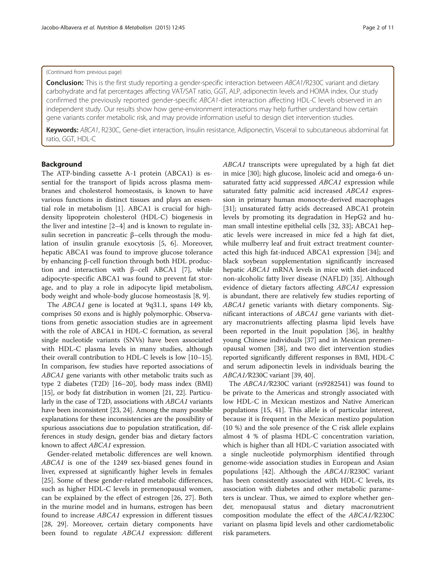#### (Continued from previous page)

Conclusion: This is the first study reporting a gender-specific interaction between ABCA1/R230C variant and dietary carbohydrate and fat percentages affecting VAT/SAT ratio, GGT, ALP, adiponectin levels and HOMA index. Our study confirmed the previously reported gender-specific ABCA1-diet interaction affecting HDL-C levels observed in an independent study. Our results show how gene-environment interactions may help further understand how certain gene variants confer metabolic risk, and may provide information useful to design diet intervention studies.

Keywords: ABCA1, R230C, Gene-diet interaction, Insulin resistance, Adiponectin, Visceral to subcutaneous abdominal fat ratio, GGT, HDL-C

# Background

The ATP-binding cassette A-1 protein (ABCA1) is essential for the transport of lipids across plasma membranes and cholesterol homeostasis, is known to have various functions in distinct tissues and plays an essential role in metabolism [[1\]](#page-8-0). ABCA1 is crucial for highdensity lipoprotein cholesterol (HDL-C) biogenesis in the liver and intestine [\[2](#page-8-0)–[4\]](#page-8-0) and is known to regulate insulin secretion in pancreatic β–cells through the modulation of insulin granule exocytosis [\[5, 6\]](#page-8-0). Moreover, hepatic ABCA1 was found to improve glucose tolerance by enhancing β-cell function through both HDL produc-tion and interaction with β–cell ABCA1 [[7\]](#page-8-0), while adipocyte-specific ABCA1 was found to prevent fat storage, and to play a role in adipocyte lipid metabolism, body weight and whole-body glucose homeostasis [[8, 9\]](#page-8-0).

The ABCA1 gene is located at 9q31.1, spans 149 kb, comprises 50 exons and is highly polymorphic. Observations from genetic association studies are in agreement with the role of ABCA1 in HDL-C formation, as several single nucleotide variants (SNVs) have been associated with HDL-C plasma levels in many studies, although their overall contribution to HDL-C levels is low [\[10](#page-8-0)–[15](#page-8-0)]. In comparison, few studies have reported associations of ABCA1 gene variants with other metabolic traits such as type 2 diabetes (T2D) [[16](#page-8-0)–[20\]](#page-9-0), body mass index (BMI) [[15](#page-8-0)], or body fat distribution in women [[21, 22\]](#page-9-0). Particularly in the case of T2D, associations with ABCA1 variants have been inconsistent [\[23](#page-9-0), [24\]](#page-9-0). Among the many possible explanations for these inconsistencies are the possibility of spurious associations due to population stratification, differences in study design, gender bias and dietary factors known to affect ABCA1 expression.

Gender-related metabolic differences are well known. ABCA1 is one of the 1249 sex-biased genes found in liver, expressed at significantly higher levels in females [[25\]](#page-9-0). Some of these gender-related metabolic differences, such as higher HDL-C levels in premenopausal women, can be explained by the effect of estrogen [\[26, 27](#page-9-0)]. Both in the murine model and in humans, estrogen has been found to increase ABCA1 expression in different tissues [[28, 29\]](#page-9-0). Moreover, certain dietary components have been found to regulate ABCA1 expression: different ABCA1 transcripts were upregulated by a high fat diet in mice [\[30](#page-9-0)]; high glucose, linoleic acid and omega-6 unsaturated fatty acid suppressed ABCA1 expression while saturated fatty palmitic acid increased ABCA1 expression in primary human monocyte-derived macrophages [[31\]](#page-9-0); unsaturated fatty acids decreased ABCA1 protein levels by promoting its degradation in HepG2 and human small intestine epithelial cells [\[32, 33\]](#page-9-0); ABCA1 hepatic levels were increased in mice fed a high fat diet, while mulberry leaf and fruit extract treatment counteracted this high fat-induced ABCA1 expression [[34\]](#page-9-0); and black soybean supplementation significantly increased hepatic ABCA1 mRNA levels in mice with diet-induced non-alcoholic fatty liver disease (NAFLD) [[35\]](#page-9-0). Although evidence of dietary factors affecting ABCA1 expression is abundant, there are relatively few studies reporting of ABCA1 genetic variants with dietary components. Significant interactions of ABCA1 gene variants with dietary macronutrients affecting plasma lipid levels have been reported in the Inuit population [\[36\]](#page-9-0), in healthy young Chinese individuals [\[37](#page-9-0)] and in Mexican premenopausal women [\[38](#page-9-0)], and two diet intervention studies reported significantly different responses in BMI, HDL-C and serum adiponectin levels in individuals bearing the ABCA1/R230C variant [\[39, 40](#page-9-0)].

The ABCA1/R230C variant (rs9282541) was found to be private to the Americas and strongly associated with low HDL-C in Mexican mestizos and Native American populations [[15](#page-8-0), [41](#page-9-0)]. This allele is of particular interest, because it is frequent in the Mexican mestizo population (10 %) and the sole presence of the C risk allele explains almost 4 % of plasma HDL-C concentration variation, which is higher than all HDL-C variation associated with a single nucleotide polymorphism identified through genome-wide association studies in European and Asian populations [\[42\]](#page-9-0). Although the ABCA1/R230C variant has been consistently associated with HDL-C levels, its association with diabetes and other metabolic parameters is unclear. Thus, we aimed to explore whether gender, menopausal status and dietary macronutrient composition modulate the effect of the ABCA1/R230C variant on plasma lipid levels and other cardiometabolic risk parameters.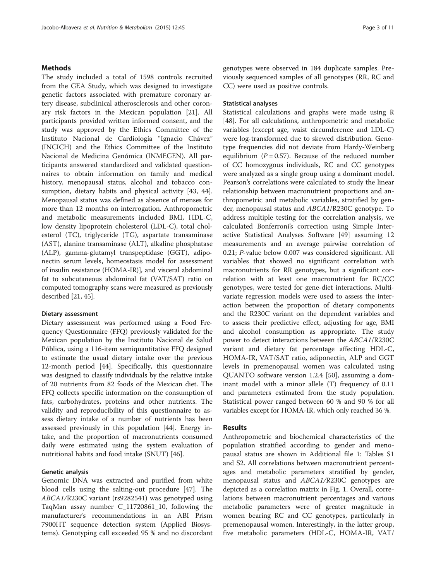# **Methods**

The study included a total of 1598 controls recruited from the GEA Study, which was designed to investigate genetic factors associated with premature coronary artery disease, subclinical atherosclerosis and other coronary risk factors in the Mexican population [\[21](#page-9-0)]. All participants provided written informed consent, and the study was approved by the Ethics Committee of the Instituto Nacional de Cardiología "Ignacio Chávez" (INCICH) and the Ethics Committee of the Instituto Nacional de Medicina Genómica (INMEGEN). All participants answered standardized and validated questionnaires to obtain information on family and medical history, menopausal status, alcohol and tobacco consumption, dietary habits and physical activity [[43](#page-9-0), [44](#page-9-0)]. Menopausal status was defined as absence of menses for more than 12 months on interrogation. Anthropometric and metabolic measurements included BMI, HDL-C, low density lipoprotein cholesterol (LDL-C), total cholesterol (TC), triglyceride (TG), aspartate transaminase (AST), alanine transaminase (ALT), alkaline phosphatase (ALP), gamma-glutamyl transpeptidase (GGT), adiponectin serum levels, homeostasis model for assessment of insulin resistance (HOMA-IR)], and visceral abdominal fat to subcutaneous abdominal fat (VAT/SAT) ratio on computed tomography scans were measured as previously described [\[21, 45](#page-9-0)].

# Dietary assessment

Dietary assessment was performed using a Food Frequency Questionnaire (FFQ) previously validated for the Mexican population by the Instituto Nacional de Salud Pública, using a 116-item semiquantitative FFQ designed to estimate the usual dietary intake over the previous 12-month period [[44\]](#page-9-0). Specifically, this questionnaire was designed to classify individuals by the relative intake of 20 nutrients from 82 foods of the Mexican diet. The FFQ collects specific information on the consumption of fats, carbohydrates, proteins and other nutrients. The validity and reproducibility of this questionnaire to assess dietary intake of a number of nutrients has been assessed previously in this population [\[44\]](#page-9-0). Energy intake, and the proportion of macronutrients consumed daily were estimated using the system evaluation of nutritional habits and food intake (SNUT) [\[46](#page-9-0)].

# Genetic analysis

Genomic DNA was extracted and purified from white blood cells using the salting-out procedure [[47\]](#page-9-0). The ABCA1/R230C variant (rs9282541) was genotyped using TaqMan assay number C\_11720861\_10, following the manufacturer's recommendations in an ABI Prism 7900HT sequence detection system (Applied Biosystems). Genotyping call exceeded 95 % and no discordant

genotypes were observed in 184 duplicate samples. Previously sequenced samples of all genotypes (RR, RC and CC) were used as positive controls.

# Statistical analyses

Statistical calculations and graphs were made using R [[48\]](#page-9-0). For all calculations, anthropometric and metabolic variables (except age, waist circumference and LDL-C) were log-transformed due to skewed distribution. Genotype frequencies did not deviate from Hardy-Weinberg equilibrium ( $P = 0.57$ ). Because of the reduced number of CC homozygous individuals, RC and CC genotypes were analyzed as a single group using a dominant model. Pearson's correlations were calculated to study the linear relationship between macronutrient proportions and anthropometric and metabolic variables, stratified by gender, menopausal status and ABCA1/R230C genotype. To address multiple testing for the correlation analysis, we calculated Bonferroni's correction using Simple Interactive Statistical Analyses Software [[49](#page-9-0)] assuming 12 measurements and an average pairwise correlation of 0.21; P-value below 0.007 was considered significant. All variables that showed no significant correlation with macronutrients for RR genotypes, but a significant correlation with at least one macronutrient for RC/CC genotypes, were tested for gene-diet interactions. Multivariate regression models were used to assess the interaction between the proportion of dietary components and the R230C variant on the dependent variables and to assess their predictive effect, adjusting for age, BMI and alcohol consumption as appropriate. The study power to detect interactions between the ABCA1/R230C variant and dietary fat percentage affecting HDL-C, HOMA-IR, VAT/SAT ratio, adiponectin, ALP and GGT levels in premenopausal women was calculated using QUANTO software version 1.2.4 [\[50\]](#page-9-0), assuming a dominant model with a minor allele (T) frequency of 0.11 and parameters estimated from the study population. Statistical power ranged between 60 % and 90 % for all variables except for HOMA-IR, which only reached 36 %.

### Results

Anthropometric and biochemical characteristics of the population stratified according to gender and menopausal status are shown in Additional file [1:](#page-8-0) Tables S1 and S2. All correlations between macronutrient percentages and metabolic parameters stratified by gender, menopausal status and ABCA1/R230C genotypes are depicted as a correlation matrix in Fig. [1](#page-3-0). Overall, correlations between macronutrient percentages and various metabolic parameters were of greater magnitude in women bearing RC and CC genotypes, particularly in premenopausal women. Interestingly, in the latter group, five metabolic parameters (HDL-C, HOMA-IR, VAT/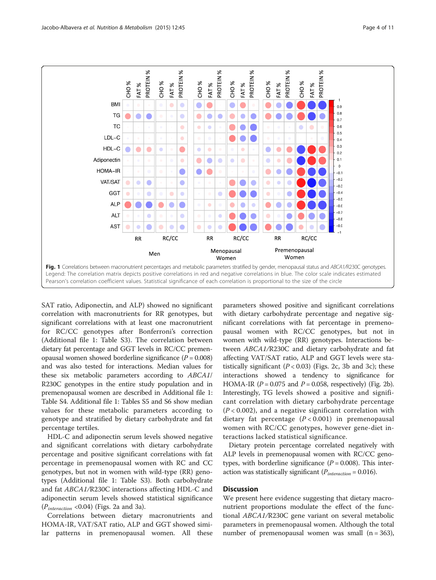<span id="page-3-0"></span>

SAT ratio, Adiponectin, and ALP) showed no significant correlation with macronutrients for RR genotypes, but significant correlations with at least one macronutrient for RC/CC genotypes after Bonferroni's correction (Additional file [1:](#page-8-0) Table S3). The correlation between dietary fat percentage and GGT levels in RC/CC premenopausal women showed borderline significance  $(P = 0.008)$ and was also tested for interactions. Median values for these six metabolic parameters according to ABCA1/ R230C genotypes in the entire study population and in premenopausal women are described in Additional file [1](#page-8-0): Table S4. Additional file [1:](#page-8-0) Tables S5 and S6 show median values for these metabolic parameters according to genotype and stratified by dietary carbohydrate and fat percentage tertiles.

HDL-C and adiponectin serum levels showed negative and significant correlations with dietary carbohydrate percentage and positive significant correlations with fat percentage in premenopausal women with RC and CC genotypes, but not in women with wild-type (RR) genotypes (Additional file [1](#page-8-0): Table S3). Both carbohydrate and fat ABCA1/R230C interactions affecting HDL-C and adiponectin serum levels showed statistical significance  $(P_{interaction} < 0.04)$  (Figs. [2a](#page-4-0) and [3a\)](#page-5-0).

Correlations between dietary macronutrients and HOMA-IR, VAT/SAT ratio, ALP and GGT showed similar patterns in premenopausal women. All these parameters showed positive and significant correlations with dietary carbohydrate percentage and negative significant correlations with fat percentage in premenopausal women with RC/CC genotypes, but not in women with wild-type (RR) genotypes. Interactions between ABCA1/R230C and dietary carbohydrate and fat affecting VAT/SAT ratio, ALP and GGT levels were statistically significant  $(P < 0.03)$  (Figs. [2c](#page-4-0), [3b](#page-5-0) and [3c\)](#page-5-0); these interactions showed a tendency to significance for HOMA-IR ( $P = 0.075$  and  $P = 0.058$ , respectively) (Fig. [2b](#page-4-0)). Interestingly, TG levels showed a positive and significant correlation with dietary carbohydrate percentage  $(P < 0.002)$ , and a negative significant correlation with dietary fat percentage  $(P < 0.001)$  in premenopausal women with RC/CC genotypes, however gene-diet interactions lacked statistical significance.

Dietary protein percentage correlated negatively with ALP levels in premenopausal women with RC/CC genotypes, with borderline significance  $(P = 0.008)$ . This interaction was statistically significant ( $P_{interaction} = 0.016$ ).

# **Discussion**

We present here evidence suggesting that dietary macronutrient proportions modulate the effect of the functional ABCA1/R230C gene variant on several metabolic parameters in premenopausal women. Although the total number of premenopausal women was small  $(n = 363)$ ,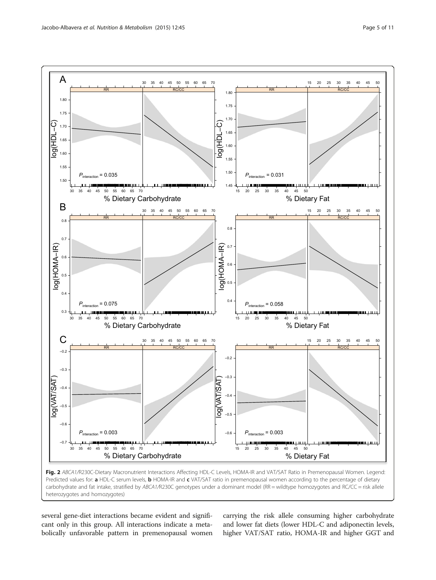<span id="page-4-0"></span>

Fig. 2 ABCA1/R230C-Dietary Macronutrient Interactions Affecting HDL-C Levels, HOMA-IR and VAT/SAT Ratio in Premenopausal Women. Legend: Predicted values for: a HDL-C serum levels, b HOMA-IR and c VAT/SAT ratio in premenopausal women according to the percentage of dietary carbohydrate and fat intake, stratified by ABCA1/R230C genotypes under a dominant model (RR = wildtype homozygotes and RC/CC = risk allele heterozygotes and homozygotes)

several gene-diet interactions became evident and significant only in this group. All interactions indicate a metabolically unfavorable pattern in premenopausal women carrying the risk allele consuming higher carbohydrate and lower fat diets (lower HDL-C and adiponectin levels, higher VAT/SAT ratio, HOMA-IR and higher GGT and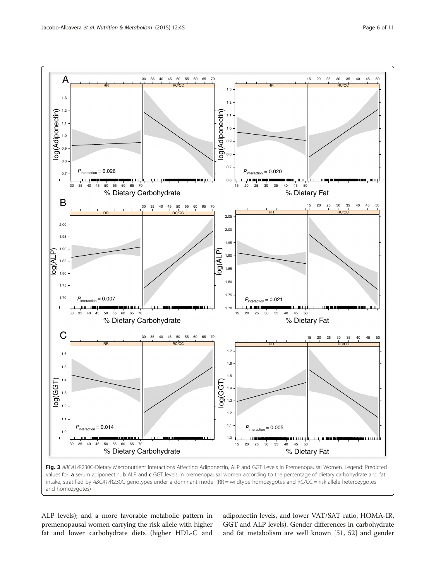<span id="page-5-0"></span>

Fig. 3 ABCA1/R230C-Dietary Macronutrient Interactions Affecting Adiponectin, ALP and GGT Levels in Premenopausal Women. Legend: Predicted values for: a serum adiponectin, b ALP and c GGT levels in premenopausal women according to the percentage of dietary carbohydrate and fat intake, stratified by ABCA1/R230C genotypes under a dominant model (RR = wildtype homozygotes and RC/CC = risk allele heterozygotes and homozygotes)

ALP levels); and a more favorable metabolic pattern in premenopausal women carrying the risk allele with higher fat and lower carbohydrate diets (higher HDL-C and adiponectin levels, and lower VAT/SAT ratio, HOMA-IR, GGT and ALP levels). Gender differences in carbohydrate and fat metabolism are well known [[51](#page-9-0), [52](#page-9-0)] and gender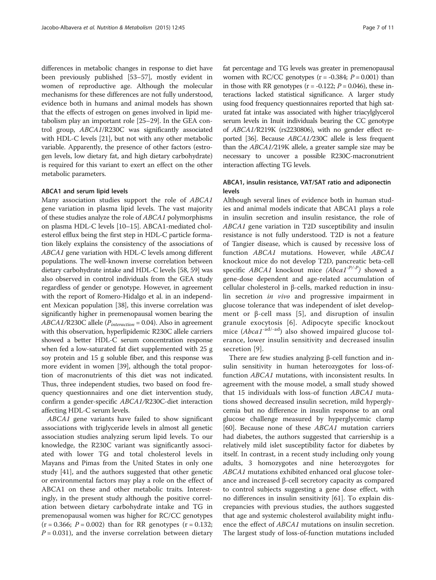differences in metabolic changes in response to diet have been previously published [\[53](#page-9-0)–[57](#page-9-0)], mostly evident in women of reproductive age. Although the molecular mechanisms for these differences are not fully understood, evidence both in humans and animal models has shown that the effects of estrogen on genes involved in lipid metabolism play an important role [[25](#page-9-0)–[29\]](#page-9-0). In the GEA control group, ABCA1/R230C was significantly associated with HDL-C levels [\[21](#page-9-0)], but not with any other metabolic variable. Apparently, the presence of other factors (estrogen levels, low dietary fat, and high dietary carbohydrate) is required for this variant to exert an effect on the other metabolic parameters.

#### ABCA1 and serum lipid levels

Many association studies support the role of ABCA1 gene variation in plasma lipid levels. The vast majority of these studies analyze the role of ABCA1 polymorphisms on plasma HDL-C levels [\[10](#page-8-0)–[15](#page-8-0)]. ABCA1-mediated cholesterol efflux being the first step in HDL-C particle formation likely explains the consistency of the associations of ABCA1 gene variation with HDL-C levels among different populations. The well-known inverse correlation between dietary carbohydrate intake and HDL-C levels [[58](#page-9-0), [59\]](#page-9-0) was also observed in control individuals from the GEA study regardless of gender or genotype. However, in agreement with the report of Romero-Hidalgo et al. in an independent Mexican population [[38](#page-9-0)], this inverse correlation was significantly higher in premenopausal women bearing the  $ABCA1/R230C$  allele ( $P_{interaction} = 0.04$ ). Also in agreement with this observation, hyperlipidemic R230C allele carriers showed a better HDL-C serum concentration response when fed a low-saturated fat diet supplemented with 25 g soy protein and 15 g soluble fiber, and this response was more evident in women [\[39\]](#page-9-0), although the total proportion of macronutrients of this diet was not indicated. Thus, three independent studies, two based on food frequency questionnaires and one diet intervention study, confirm a gender-specific ABCA1/R230C-diet interaction affecting HDL-C serum levels.

ABCA1 gene variants have failed to show significant associations with triglyceride levels in almost all genetic association studies analyzing serum lipid levels. To our knowledge, the R230C variant was significantly associated with lower TG and total cholesterol levels in Mayans and Pimas from the United States in only one study [\[41](#page-9-0)], and the authors suggested that other genetic or environmental factors may play a role on the effect of ABCA1 on these and other metabolic traits. Interestingly, in the present study although the positive correlation between dietary carbohydrate intake and TG in premenopausal women was higher for RC/CC genotypes  $(r = 0.366; P = 0.002)$  than for RR genotypes  $(r = 0.132;$  $P = 0.031$ ), and the inverse correlation between dietary fat percentage and TG levels was greater in premenopausal women with RC/CC genotypes  $(r = -0.384; P = 0.001)$  than in those with RR genotypes ( $r = -0.122$ ;  $P = 0.046$ ), these interactions lacked statistical significance. A larger study using food frequency questionnaires reported that high saturated fat intake was associated with higher triacylglycerol serum levels in Inuit individuals bearing the CC genotype of ABCA1/R219K (rs2230806), with no gender effect reported [\[36\]](#page-9-0). Because ABCA1/230C allele is less frequent than the ABCA1/219K allele, a greater sample size may be necessary to uncover a possible R230C-macronutrient interaction affecting TG levels.

# ABCA1, insulin resistance, VAT/SAT ratio and adiponectin levels

Although several lines of evidence both in human studies and animal models indicate that ABCA1 plays a role in insulin secretion and insulin resistance, the role of ABCA1 gene variation in T2D susceptibility and insulin resistance is not fully understood. T2D is not a feature of Tangier disease, which is caused by recessive loss of function ABCA1 mutations. However, while ABCA1 knockout mice do not develop T2D, pancreatic beta-cell specific ABCA1 knockout mice  $(Abca1^{-P/-P})$  showed a gene-dose dependent and age-related accumulation of cellular cholesterol in β-cells, marked reduction in insulin secretion in vivo and progressive impairment in glucose tolerance that was independent of islet develop-ment or β-cell mass [[5\]](#page-8-0), and disruption of insulin granule exocytosis [\[6](#page-8-0)]. Adipocyte specific knockout mice (Abca1<sup>-ad/-ad</sup>) also showed impaired glucose tolerance, lower insulin sensitivity and decreased insulin secretion [[9\]](#page-8-0).

There are few studies analyzing β-cell function and insulin sensitivity in human heterozygotes for loss-offunction ABCA1 mutations, with inconsistent results. In agreement with the mouse model, a small study showed that 15 individuals with loss-of function ABCA1 mutations showed decreased insulin secretion, mild hyperglycemia but no difference in insulin response to an oral glucose challenge measured by hyperglycemic clamp [[60\]](#page-9-0). Because none of these ABCA1 mutation carriers had diabetes, the authors suggested that carriership is a relatively mild islet susceptibility factor for diabetes by itself. In contrast, in a recent study including only young adults, 3 homozygotes and nine heterozygotes for ABCA1 mutations exhibited enhanced oral glucose tolerance and increased β-cell secretory capacity as compared to control subjects suggesting a gene dose effect, with no differences in insulin sensitivity [\[61](#page-10-0)]. To explain discrepancies with previous studies, the authors suggested that age and systemic cholesterol availability might influence the effect of *ABCA1* mutations on insulin secretion. The largest study of loss-of-function mutations included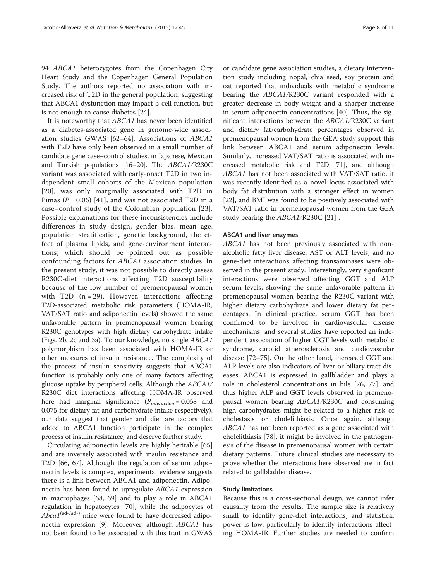94 ABCA1 heterozygotes from the Copenhagen City Heart Study and the Copenhagen General Population Study. The authors reported no association with increased risk of T2D in the general population, suggesting that ABCA1 dysfunction may impact β-cell function, but is not enough to cause diabetes [\[24](#page-9-0)].

It is noteworthy that ABCA1 has never been identified as a diabetes-associated gene in genome-wide association studies GWAS [[62](#page-10-0)–[64](#page-10-0)]. Associations of ABCA1 with T2D have only been observed in a small number of candidate gene case–control studies, in Japanese, Mexican and Turkish populations [\[16](#page-8-0)–[20](#page-9-0)]. The ABCA1/R230C variant was associated with early-onset T2D in two independent small cohorts of the Mexican population [[20](#page-9-0)], was only marginally associated with T2D in Pimas ( $P = 0.06$ ) [[41\]](#page-9-0), and was not associated T2D in a case–control study of the Colombian population [[23](#page-9-0)]. Possible explanations for these inconsistencies include differences in study design, gender bias, mean age, population stratification, genetic background, the effect of plasma lipids, and gene-environment interactions, which should be pointed out as possible confounding factors for ABCA1 association studies. In the present study, it was not possible to directly assess R230C-diet interactions affecting T2D susceptibility because of the low number of premenopausal women with T2D  $(n = 29)$ . However, interactions affecting T2D-associated metabolic risk parameters (HOMA-IR, VAT/SAT ratio and adiponectin levels) showed the same unfavorable pattern in premenopausal women bearing R230C genotypes with high dietary carbohydrate intake (Figs. [2b](#page-4-0), [2c](#page-4-0) and [3a](#page-5-0)). To our knowledge, no single ABCA1 polymorphism has been associated with HOMA-IR or other measures of insulin resistance. The complexity of the process of insulin sensitivity suggests that ABCA1 function is probably only one of many factors affecting glucose uptake by peripheral cells. Although the ABCA1/ R230C diet interactions affecting HOMA-IR observed here had marginal significance  $(P_{interaction} = 0.058$  and 0.075 for dietary fat and carbohydrate intake respectively), our data suggest that gender and diet are factors that added to ABCA1 function participate in the complex process of insulin resistance, and deserve further study.

Circulating adiponectin levels are highly heritable [[65](#page-10-0)] and are inversely associated with insulin resistance and T2D [[66](#page-10-0), [67\]](#page-10-0). Although the regulation of serum adiponectin levels is complex, experimental evidence suggests there is a link between ABCA1 and adiponectin. Adiponectin has been found to upregulate ABCA1 expression in macrophages [\[68](#page-10-0), [69\]](#page-10-0) and to play a role in ABCA1 regulation in hepatocytes [\[70\]](#page-10-0), while the adipocytes of  $Abca1<sup>(ad-/ad-)</sup>$  mice were found to have decreased adiponectin expression [[9](#page-8-0)]. Moreover, although ABCA1 has not been found to be associated with this trait in GWAS

or candidate gene association studies, a dietary intervention study including nopal, chia seed, soy protein and oat reported that individuals with metabolic syndrome bearing the ABCA1/R230C variant responded with a greater decrease in body weight and a sharper increase in serum adiponectin concentrations [[40\]](#page-9-0). Thus, the significant interactions between the ABCA1/R230C variant and dietary fat/carbohydrate percentages observed in premenopausal women from the GEA study support this link between ABCA1 and serum adiponectin levels. Similarly, increased VAT/SAT ratio is associated with increased metabolic risk and T2D [\[71](#page-10-0)], and although ABCA1 has not been associated with VAT/SAT ratio, it was recently identified as a novel locus associated with body fat distribution with a stronger effect in women [[22\]](#page-9-0), and BMI was found to be positively associated with VAT/SAT ratio in premenopausal women from the GEA study bearing the ABCA1/R230C [[21](#page-9-0)] .

#### ABCA1 and liver enzymes

ABCA1 has not been previously associated with nonalcoholic fatty liver disease, AST or ALT levels, and no gene-diet interactions affecting transaminases were observed in the present study. Interestingly, very significant interactions were observed affecting GGT and ALP serum levels, showing the same unfavorable pattern in premenopausal women bearing the R230C variant with higher dietary carbohydrate and lower dietary fat percentages. In clinical practice, serum GGT has been confirmed to be involved in cardiovascular disease mechanisms, and several studies have reported an independent association of higher GGT levels with metabolic syndrome, carotid atherosclerosis and cardiovascular disease [[72](#page-10-0)–[75\]](#page-10-0). On the other hand, increased GGT and ALP levels are also indicators of liver or biliary tract diseases. ABCA1 is expressed in gallbladder and plays a role in cholesterol concentrations in bile [\[76, 77\]](#page-10-0), and thus higher ALP and GGT levels observed in premenopausal women bearing ABCA1/R230C and consuming high carbohydrates might be related to a higher risk of cholestasis or cholelithiasis. Once again, although ABCA1 has not been reported as a gene associated with cholelithiasis [[78\]](#page-10-0), it might be involved in the pathogenesis of the disease in premenopausal women with certain dietary patterns. Future clinical studies are necessary to prove whether the interactions here observed are in fact related to gallbladder disease.

# Study limitations

Because this is a cross-sectional design, we cannot infer causality from the results. The sample size is relatively small to identify gene-diet interactions, and statistical power is low, particularly to identify interactions affecting HOMA-IR. Further studies are needed to confirm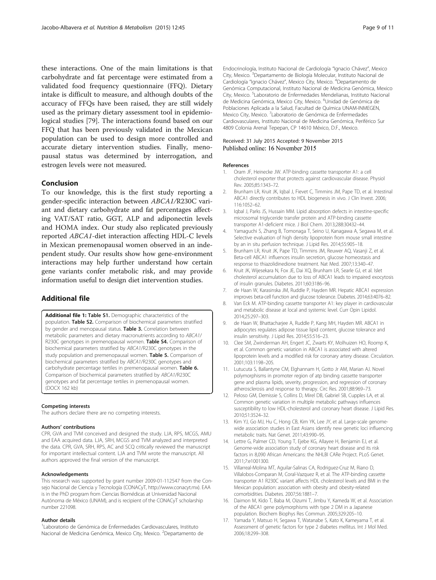<span id="page-8-0"></span>these interactions. One of the main limitations is that carbohydrate and fat percentage were estimated from a validated food frequency questionnaire (FFQ). Dietary intake is difficult to measure, and although doubts of the accuracy of FFQs have been raised, they are still widely used as the primary dietary assessment tool in epidemiological studies [[79\]](#page-10-0). The interactions found based on our FFQ that has been previously validated in the Mexican population can be used to design more controlled and accurate dietary intervention studies. Finally, menopausal status was determined by interrogation, and estrogen levels were not measured.

### Conclusion

To our knowledge, this is the first study reporting a gender-specific interaction between ABCA1/R230C variant and dietary carbohydrate and fat percentages affecting VAT/SAT ratio, GGT, ALP and adiponectin levels and HOMA index. Our study also replicated previously reported ABCA1-diet interaction affecting HDL-C levels in Mexican premenopausal women observed in an independent study. Our results show how gene-environment interactions may help further understand how certain gene variants confer metabolic risk, and may provide information useful to design diet intervention studies.

# Additional file

[Additional file 1:](dx.doi.org/10.1186/s12986-015-0040-3) Table S1. Demographic characteristics of the population. Table S2. Comparison of biochemical parameters stratified by gender and menopausal status. Table 3. Correlation between metabolic parameters and dietary macronutrients according to ABCA1/ R230C genotypes in premenopausal women. Table S4. Comparison of biochemical parameters stratified by ABCA1/R230C genotypes in the study population and premenopausal women. Table 5. Comparison of biochemical parameters stratified by ABCA1/R230C genotypes and carbohydrate percentage tertiles in premenopausal women. Table 6. Comparison of biochemical parameters stratified by ABCA1/R230C genotypes and fat percentage tertiles in premenopausal women. (DOCX 162 kb)

#### Competing interests

The authors declare there are no competing interests.

#### Authors' contributions

CPR, GVA and TVM conceived and designed the study. LJA, RPS, MCGS, AMU and EAA acquired data. LJA, SRH, MCGS and TVM analyzed and interpreted the data. CPR, GVA, SRH, RPS, AC and SCQ critically reviewed the manuscript for important intellectual content. LJA and TVM wrote the manuscript. All authors approved the final version of the manuscript.

#### Acknowledgements

This research was supported by grant number 2009-01-112547 from the Consejo Nacional de Ciencia y Tecnología (CONACyT, [http://www.conacyt.mx\)](http://www.conacyt.mx). EAA is in the PhD program from Ciencias Biomédicas at Universidad Nacional Autónoma de México (UNAM), and is recipient of the CONACyT scholarship number 221098.

#### Author details

1 Laboratorio de Genómica de Enfermedades Cardiovasculares, Instituto Nacional de Medicina Genómica, Mexico City, Mexico. <sup>2</sup>Departamento de Endocrinología, Instituto Nacional de Cardiología "Ignacio Chávez", Mexico City, Mexico.<sup>3</sup> Departamento de Biología Molecular, Instituto Nacional de Cardiología "Ignacio Chávez", Mexico City, Mexico. <sup>4</sup>Departamento de Genómica Computacional, Instituto Nacional de Medicina Genómica, Mexico City, Mexico. <sup>5</sup> Laboratorio de Enfermedades Mendelianas, Instituto Nacional de Medicina Genómica, Mexico City, Mexico. <sup>6</sup>Unidad de Genómica de Poblaciones Aplicada a la Salud, Facultad de Química UNAM-INMEGEN, Mexico City, Mexico. <sup>7</sup> Laboratorio de Genómica de Enfermedades Cardiovasculares, Instituto Nacional de Medicina Genómica, Periférico Sur 4809 Colonia Arenal Tepepan, CP 14610 México, D.F., Mexico.

### Received: 31 July 2015 Accepted: 9 November 2015 Published online: 16 November 2015

#### References

- 1. Oram JF, Heinecke JW. ATP-binding cassette transporter A1: a cell cholesterol exporter that protects against cardiovascular disease. Physiol Rev. 2005;85:1343–72.
- 2. Brunham LR, Kruit JK, Iqbal J, Fievet C, Timmins JM, Pape TD, et al. Intestinal ABCA1 directly contributes to HDL biogenesis in vivo. J Clin Invest. 2006; 116:1052–62.
- 3. Iqbal J, Parks JS, Hussain MM. Lipid absorption defects in intestine-specific microsomal triglyceride transfer protein and ATP-binding cassette transporter A1-deficient mice. J Biol Chem. 2013;288:30432–44.
- 4. Yamaguchi S, Zhang B, Tomonaga T, Seino U, Kanagawa A, Segawa M, et al. Selective evaluation of high density lipoprotein from mouse small intestine by an in situ perfusion technique. J Lipid Res. 2014;55:905–18.
- 5. Brunham LR, Kruit JK, Pape TD, Timmins JM, Reuwer AQ, Vasanji Z, et al. Beta-cell ABCA1 influences insulin secretion, glucose homeostasis and response to thiazolidinedione treatment. Nat Med. 2007;13:340–47.
- 6. Kruit JK, Wijesekara N, Fox JE, Dai XQ, Brunham LR, Searle GJ, et al. Islet cholesterol accumulation due to loss of ABCA1 leads to impaired exocytosis of insulin granules. Diabetes. 2011;60:3186–96.
- 7. de Haan W, Karasinska JM, Ruddle P, Hayden MR. Hepatic ABCA1 expression improves beta-cell function and glucose tolerance. Diabetes. 2014;63:4076–82.
- 8. Van Eck M. ATP-binding cassette transporter A1: key player in cardiovascular and metabolic disease at local and systemic level. Curr Opin Lipidol. 2014;25:297–303.
- 9. de Haan W, Bhattacharjee A, Ruddle P, Kang MH, Hayden MR. ABCA1 in adipocytes regulates adipose tissue lipid content, glucose tolerance and insulin sensitivity. J Lipid Res. 2014;55:516–23.
- 10. Clee SM, Zwinderman AH, Engert JC, Zwarts KY, Molhuizen HO, Roomp K, et al. Common genetic variation in ABCA1 is associated with altered lipoprotein levels and a modified risk for coronary artery disease. Circulation. 2001;103:1198–205.
- 11. Lutucuta S, Ballantyne CM, Elghannam H, Gotto Jr AM, Marian AJ. Novel polymorphisms in promoter region of atp binding cassette transporter gene and plasma lipids, severity, progression, and regression of coronary atherosclerosis and response to therapy. Circ Res. 2001;88:969–73.
- 12. Peloso GM, Demissie S, Collins D, Mirel DB, Gabriel SB, Cupples LA, et al. Common genetic variation in multiple metabolic pathways influences susceptibility to low HDL-cholesterol and coronary heart disease. J Lipid Res. 2010;51:3524–32.
- 13. Kim YJ, Go MJ, Hu C, Hong CB, Kim YK, Lee JY, et al. Large-scale genomewide association studies in East Asians identify new genetic loci influencing metabolic traits. Nat Genet. 2011;43:990–95.
- 14. Lettre G, Palmer CD, Young T, Ejebe KG, Allayee H, Benjamin EJ, et al. Genome-wide association study of coronary heart disease and its risk factors in 8,090 African Americans: the NHLBI CARe Project. PLoS Genet. 2011;7:e1001300.
- 15. Villarreal-Molina MT, Aguilar-Salinas CA, Rodriguez-Cruz M, Riano D, Villalobos-Comparan M, Coral-Vazquez R, et al. The ATP-binding cassette transporter A1 R230C variant affects HDL cholesterol levels and BMI in the Mexican population: association with obesity and obesity-related comorbidities. Diabetes. 2007;56:1881–7.
- 16. Daimon M, Kido T, Baba M, Oizumi T, Jimbu Y, Kameda W, et al. Association of the ABCA1 gene polymorphisms with type 2 DM in a Japanese population. Biochem Biophys Res Commun. 2005;329:205–10.
- 17. Yamada Y, Matsuo H, Segawa T, Watanabe S, Kato K, Kameyama T, et al. Assessment of genetic factors for type 2 diabetes mellitus. Int J Mol Med. 2006;18:299–308.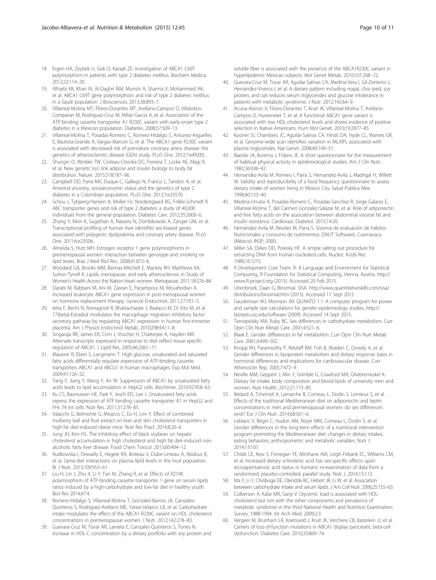- <span id="page-9-0"></span>18. Ergen HA, Zeybek U, Gok O, Karaali ZE. Investigation of ABCA1 C69T polymorphism in patients with type 2 diabetes mellitus. Biochem Medica. 2012;22:114–20.
- 19. Alharbi KK, Khan IA, Al-Daghri NM, Munshi A, Sharma V, Mohammed AK, et al. ABCA1 C69T gene polymorphism and risk of type 2 diabetes mellitus in a Saudi population. J Biosciences. 2013;38:893–7.
- 20. Villarreal-Molina MT, Flores-Dorantes MT, Arellano-Campos O, Villalobos-Comparan M, Rodriguez-Cruz M, Miliar-Garcia A, et al. Association of the ATP-binding cassette transporter A1 R230C variant with early-onset type 2 diabetes in a Mexican population. Diabetes. 2008;57:509–13.
- 21. Villarreal-Molina T, Posadas-Romero C, Romero-Hidalgo S, Antunez-Arguelles E, Bautista-Grande A, Vargas-Alarcon G, et al. The ABCA1 gene R230C variant is associated with decreased risk of premature coronary artery disease: the genetics of atherosclerotic disease (GEA) study. PLoS One. 2012;7:e49285.
- 22. Shungin D, Winkler TW, Croteau-Chonka DC, Ferreira T, Locke AE, Magi R, et al. New genetic loci link adipose and insulin biology to body fat distribution. Nature. 2015;518:187–96.
- 23. Campbell DD, Parra MV, Duque C, Gallego N, Franco L, Tandon A, et al. Amerind ancestry, socioeconomic status and the genetics of type 2 diabetes in a Colombian population. PLoS One. 2012;7:e33570.
- 24. Schou J, Tybjaerg-Hansen A, Moller HJ, Nordestgaard BG, Frikke-Schmidt R. ABC transporter genes and risk of type 2 diabetes: a study of 40,000 individuals from the general population. Diabetes Care. 2012;35:2600–6.
- 25. Zhang Y, Klein K, Sugathan A, Nassery N, Dombkowski A, Zanger UM, et al. Transcriptional profiling of human liver identifies sex-biased genes associated with polygenic dyslipidemia and coronary artery disease. PLoS One. 2011;6:e23506.
- 26. Almeida S, Hutz MH. Estrogen receptor 1 gene polymorphisms in premenopausal women: interaction between genotype and smoking on lipid levels. Braz J Med Biol Res. 2008;41:872–6.
- 27. Woodard GA, Brooks MM, Barinas-Mitchell E, Mackey RH, Matthews KA, Sutton-Tyrrell K. Lipids, menopause, and early atherosclerosis in Study of Women's Health Across the Nation Heart women. Menopause. 2011;18:376–84.
- 28. Darabi M, Rabbani M, Ani M, Zarean E, Panjehpour M, Movahedian A. Increased leukocyte ABCA1 gene expression in post-menopausal women on hormone replacement therapy. Gynecol Endocrinol. 2011;27:701–5.
- 29. Ietta F, Bechi N, Romagnoli R, Bhattacharjee J, Realacci M, Di Vito M, et al. 17{beta}-Estradiol modulates the macrophage migration inhibitory factor secretory pathway by regulating ABCA1 expression in human first-trimester placenta. Am J Physiol Endocrinol Metab. 2010;298:E411–8.
- 30. Singaraja RR, James ER, Crim J, Visscher H, Chatterjee A, Hayden MR. Alternate transcripts expressed in response to diet reflect tissue-specific regulation of ABCA1. J Lipid Res. 2005;46:2061–71.
- 31. Mauerer R, Ebert S, Langmann T. High glucose, unsaturated and saturated fatty acids differentially regulate expression of ATP-binding cassette transporters ABCA1 and ABCG1 in human macrophages. Exp Mol Med. 2009;41:126–32.
- 32. Yang Y, Jiang Y, Wang Y, An W. Suppression of ABCA1 by unsaturated fatty acids leads to lipid accumulation in HepG2 cells. Biochimie. 2010;92:958–63.
- 33. Ku CS, Rasmussen HE, Park Y, Jesch ED, Lee J. Unsaturated fatty acids repress the expression of ATP-binding cassette transporter A1 in HepG2 and FHs 74 Int cells. Nutr Res. 2011;31:278–85.
- 34. Valacchi G, Belmonte G, Miracco C, Eo H, Lim Y. Effect of combined mulberry leaf and fruit extract on liver and skin cholesterol transporters in high fat diet-induced obese mice. Nutr Res Pract. 2014;8:20–6.
- 35. Jung JH, Kim HS. The inhibitory effect of black soybean on hepatic cholesterol accumulation in high cholesterol and high fat diet-induced nonalcoholic fatty liver disease. Food Chem Toxicol. 2013;60:404–12.
- 36. Rudkowska I, Dewailly E, Hegele RA, Boiteau V, Dube-Linteau A, Abdous B, et al. Gene-diet interactions on plasma lipid levels in the Inuit population. Br J Nutr. 2013;109:953–61.
- 37. Liu H, Lin J, Zhu X, Li Y, Fan M, Zhang R, et al. Effects of R219K polymorphism of ATP-binding cassette transporter 1 gene on serum lipids ratios induced by a high-carbohydrate and low-fat diet in healthy youth. Biol Res 2014;47:4.
- 38. Romero-Hidalgo S, Villarreal-Molina T, Gonzalez-Barrios JA, Canizales-Quinteros S, Rodriguez-Arellano ME, Yanez-Velazco LB, et al. Carbohydrate intake modulates the effect of the ABCA1-R230C variant on HDL cholesterol concentrations in premenopausal women. J Nutr. 2012;142:278–83.
- 39. Guevara-Cruz M, Tovar AR, Larrieta E, Canizales-Quinteros S, Torres N. Increase in HDL-C concentration by a dietary portfolio with soy protein and

soluble fiber is associated with the presence of the ABCA1R230C variant in hyperlipidemic Mexican subjects. Mol Genet Metab. 2010;101:268–72.

- 40. Guevara-Cruz M, Tovar AR, Aguilar-Salinas CA, Medina-Vera I, Gil-Zenteno L, Hernandez-Viveros I, et al. A dietary pattern including nopal, chia seed, soy protein, and oat reduces serum triglycerides and glucose intolerance in patients with metabolic syndrome. J Nutr. 2012;142:64–9.
- 41. Acuna-Alonzo V, Flores-Dorantes T, Kruit JK, Villarreal-Molina T, Arellano-Campos O, Hunemeier T, et al. A functional ABCA1 gene variant is associated with low HDL-cholesterol levels and shows evidence of positive selection in Native Americans. Hum Mol Genet. 2010;19:2877–85.
- 42. Kooner JS, Chambers JC, Aguilar-Salinas CA, Hinds DA, Hyde CL, Warnes GR, et al. Genome-wide scan identifies variation in MLXIPL associated with plasma triglycerides. Nat Genet. 2008;40:149–51.
- 43. Baecke JA, Burema J, Frijters JE. A short questionnaire for the measurement of habitual physical activity in epidemiological studies. Am J Clin Nutr. 1982;36:936–42.
- 44. Hernandez-Avila M, Romieu I, Parra S, Hernandez-Avila J, Madrigal H, Willett W. Validity and reproducibility of a food frequency questionnaire to assess dietary intake of women living in Mexico City. Salud Publica Mex. 1998;40:133–40.
- 45. Medina-Urrutia A, Posadas-Romero C, Posadas-Sanchez R, Jorge-Galarza E, Villarreal-Molina T, del Carmen Gonzalez-Salazar M, et al. Role of adiponectin and free fatty acids on the association between abdominal visceral fat and insulin resistance. Cardiovasc Diabetol. 2015;14:20.
- 46. Hernández-Avila M, Resoles M, Parra S. Sistema de evaluación de hábitos Nutricionales y consumo de nutrimentos (SNUT Software). Cuernavaca (México): INSP; 2000.
- 47. Miller SA, Dykes DD, Polesky HF. A simple salting out procedure for extracting DNA from human nucleated cells. Nucleic Acids Res. 1988;16:1215.
- 48. R Development Core Team. R: A Language and Environment for Statistical Computing. R Foundation for Statistical Computing, Vienna, Austria. [http://](http://www.r-project.org) [www.R-project.org](http://www.r-project.org) (2015). Accessed 20 Feb 2015.
- 49. Uitenbroek, Daan G, Binomial. SISA. [http://www.quantitativeskills.com/sisa/](http://www.quantitativeskills.com/sisa/distributions/binomial.htm) [distributions/binomial.htm](http://www.quantitativeskills.com/sisa/distributions/binomial.htm) (2015). Accessed 11 Sept 2015.
- 50. Gauderman WJ, Morrison JM. QUANTO 1.1: A computer program for power and sample size calculations for genetic-epidemiology studies, [http://](http://biostats.usc.edu/software) [biostats.usc.edu/software](http://biostats.usc.edu/software) (2009). Accessed 14 Sept 2015.
- 51. Tarnopolsky MA, Ruby BC. Sex differences in carbohydrate metabolism. Curr Opin Clin Nutr Metab Care. 2001;4:521–6.
- 52. Blaak E. Gender differences in fat metabolism. Curr Opin Clin Nutr Metab Care. 2001;4:499–502.
- 53. Knopp RH, Paramsothy P, Retzlaff BM, Fish B, Walden C, Dowdy A, et al. Gender differences in lipoprotein metabolism and dietary response: basis in hormonal differences and implications for cardiovascular disease. Curr Atheroscler Rep. 2005;7:472–9.
- 54. Neville MM, Geppert J, Min Y, Grimble G, Crawford MA, Ghebremeskel K. Dietary fat intake, body composition and blood lipids of university men and women. Nutr Health. 2012;21:173–85.
- 55. Bédard A, Tchernof A, Lamarche B, Corneau L, Dodin S, Lemieux S, et al. Effects of the traditional Mediterranean diet on adiponectin and leptin concentrations in men and premenopausal women: do sex differences exist? Eur J Clin Nutr. 2014;68:561–6.
- 56. Leblanc V, Bégin C, Hudon AM, Royer MM, Corneau L, Dodin S, et al. Gender differences in the long-term effects of a nutritional intervention program promoting the Mediterranean diet: changes in dietary intakes, eating behaviors, anthropometric and metabolic variables. Nutr J. 2014;13:107.
- 57. Childs CE, Kew S, Finnegan YE, Minihane AM, Leigh-Firbank EC, Williams CM, et al. Increased dietary α-linolenic acid has sex-specific effects upon eicosapentaenoic acid status in humans: re-examination of data from a randomised, placebo-controlled, parallel study. Nutr J. 2014;13:113.
- 58. Ma Y, Li Y, Chiriboga DE, Olendzki BC, Hebert JR, Li W, et al. Association between carbohydrate intake and serum lipids. J Am Coll Nutr. 2006;25:155–63.
- 59. Culberson A, Kafai MR, Ganji V. Glycemic load is associated with HDLcholesterol but not with the other components and prevalence of metabolic syndrome in the third National Health and Nutrition Examination Survey, 1988-1994. Int Arch Med. 2009;2:3.
- 60. Vergeer M, Brunham LR, Koetsveld J, Kruit JK, Verchere CB, Kastelein JJ, et al. Carriers of loss-of-function mutations in ABCA1 display pancreatic beta-cell dysfunction. Diabetes Care. 2010;33:869–74.